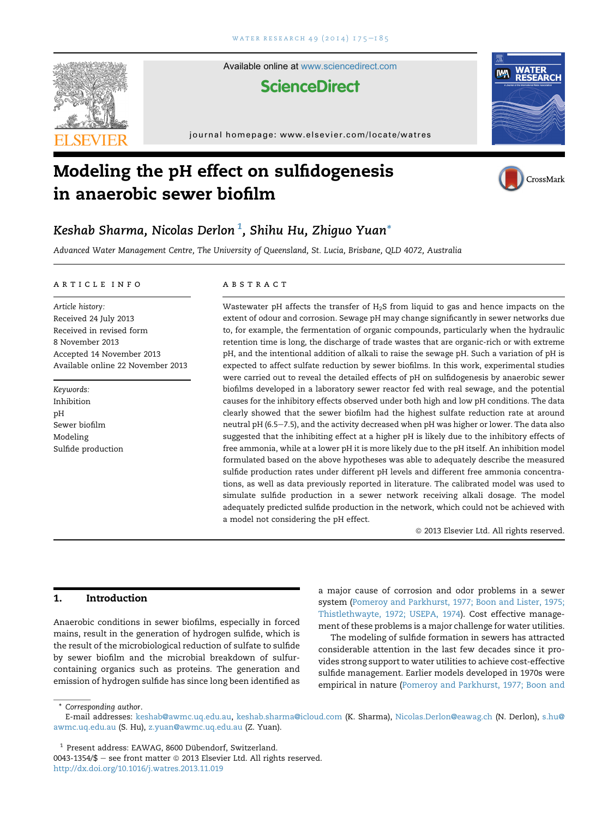

Available online at [www.sciencedirect.com](www.sciencedirect.com/science/journal/00431354)

# **ScienceDirect**

journal homepage:<www.elsevier.com/locate/watres>



# Modeling the pH effect on sulfidogenesis in anaerobic sewer biofilm



# Keshab Sharma, Nicolas Derlon $\,1$ , Shihu Hu, Zhiguo Yuan $^*$

Advanced Water Management Centre, The University of Queensland, St. Lucia, Brisbane, QLD 4072, Australia

#### article info

Article history: Received 24 July 2013 Received in revised form 8 November 2013 Accepted 14 November 2013 Available online 22 November 2013

Keywords: Inhibition pH Sewer biofilm Modeling Sulfide production

## **ABSTRACT**

Wastewater pH affects the transfer of H2S from liquid to gas and hence impacts on the extent of odour and corrosion. Sewage pH may change significantly in sewer networks due to, for example, the fermentation of organic compounds, particularly when the hydraulic retention time is long, the discharge of trade wastes that are organic-rich or with extreme pH, and the intentional addition of alkali to raise the sewage pH. Such a variation of pH is expected to affect sulfate reduction by sewer biofilms. In this work, experimental studies were carried out to reveal the detailed effects of pH on sulfidogenesis by anaerobic sewer biofilms developed in a laboratory sewer reactor fed with real sewage, and the potential causes for the inhibitory effects observed under both high and low pH conditions. The data clearly showed that the sewer biofilm had the highest sulfate reduction rate at around neutral pH (6.5-7.5), and the activity decreased when pH was higher or lower. The data also suggested that the inhibiting effect at a higher pH is likely due to the inhibitory effects of free ammonia, while at a lower pH it is more likely due to the pH itself. An inhibition model formulated based on the above hypotheses was able to adequately describe the measured sulfide production rates under different pH levels and different free ammonia concentrations, as well as data previously reported in literature. The calibrated model was used to simulate sulfide production in a sewer network receiving alkali dosage. The model adequately predicted sulfide production in the network, which could not be achieved with a model not considering the pH effect.

 $@$  2013 Elsevier Ltd. All rights reserved.

# 1. Introduction

Anaerobic conditions in sewer biofilms, especially in forced mains, result in the generation of hydrogen sulfide, which is the result of the microbiological reduction of sulfate to sulfide by sewer biofilm and the microbial breakdown of sulfurcontaining organics such as proteins. The generation and emission of hydrogen sulfide has since long been identified as a major cause of corrosion and odor problems in a sewer system ([Pomeroy and Parkhurst, 1977; Boon and Lister, 1975;](#page-9-0) [Thistlethwayte, 1972; USEPA, 1974\)](#page-9-0). Cost effective management of these problems is a major challenge for water utilities.

The modeling of sulfide formation in sewers has attracted considerable attention in the last few decades since it provides strong support to water utilities to achieve cost-effective sulfide management. Earlier models developed in 1970s were empirical in nature [\(Pomeroy and Parkhurst, 1977; Boon and](#page-9-0)

\* Corresponding author.

 $1$  Present address: EAWAG, 8600 Dübendorf, Switzerland.

E-mail addresses: [keshab@awmc.uq.edu.au,](mailto:keshab@awmc.uq.edu.au) [keshab.sharma@icloud.com](mailto:keshab.sharma@icloud.com) (K. Sharma), [Nicolas.Derlon@eawag.ch](mailto:Nicolas.Derlon@eawag.ch) (N. Derlon), [s.hu@](mailto:s.hu@awmc.uq.edu.au) [awmc.uq.edu.au](mailto:s.hu@awmc.uq.edu.au) (S. Hu), [z.yuan@awmc.uq.edu.au](mailto:z.yuan@awmc.uq.edu.au) (Z. Yuan).

 $0043-1354/\$$  – see front matter  $\textcircled{\textsc{}}$  2013 Elsevier Ltd. All rights reserved.

<http://dx.doi.org/10.1016/j.watres.2013.11.019>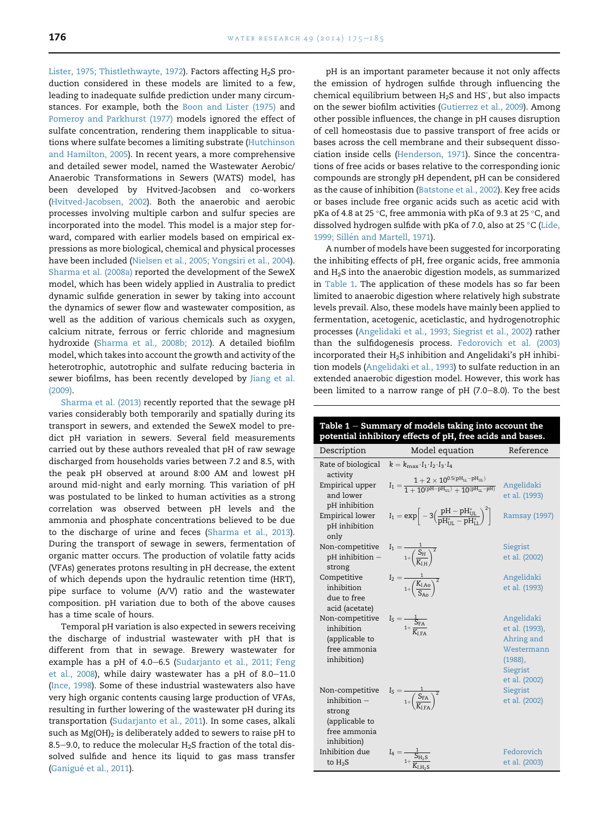[Lister, 1975; Thistlethwayte, 1972\)](#page-9-0). Factors affecting  $H_2S$  production considered in these models are limited to a few, leading to inadequate sulfide prediction under many circumstances. For example, both the [Boon and Lister \(1975\)](#page-9-0) and [Pomeroy and Parkhurst \(1977\)](#page-9-0) models ignored the effect of sulfate concentration, rendering them inapplicable to situations where sulfate becomes a limiting substrate ([Hutchinson](#page-9-0) [and Hamilton, 2005](#page-9-0)). In recent years, a more comprehensive and detailed sewer model, named the Wastewater Aerobic/ Anaerobic Transformations in Sewers (WATS) model, has been developed by Hvitved-Jacobsen and co-workers ([Hvitved-Jacobsen, 2002\)](#page-9-0). Both the anaerobic and aerobic processes involving multiple carbon and sulfur species are incorporated into the model. This model is a major step forward, compared with earlier models based on empirical expressions as more biological, chemical and physical processes have been included [\(Nielsen et al., 2005; Yongsiri et al., 2004\)](#page-9-0). [Sharma et al. \(2008a\)](#page-9-0) reported the development of the SeweX model, which has been widely applied in Australia to predict dynamic sulfide generation in sewer by taking into account the dynamics of sewer flow and wastewater composition, as well as the addition of various chemicals such as oxygen, calcium nitrate, ferrous or ferric chloride and magnesium hydroxide ([Sharma et al., 2008b; 2012](#page-9-0)). A detailed biofilm model, which takes into account the growth and activity of the heterotrophic, autotrophic and sulfate reducing bacteria in sewer biofilms, has been recently developed by [Jiang et al.](#page-9-0) [\(2009\).](#page-9-0)

[Sharma et al. \(2013\)](#page-9-0) recently reported that the sewage pH varies considerably both temporarily and spatially during its transport in sewers, and extended the SeweX model to predict pH variation in sewers. Several field measurements carried out by these authors revealed that pH of raw sewage discharged from households varies between 7.2 and 8.5, with the peak pH observed at around 8:00 AM and lowest pH around mid-night and early morning. This variation of pH was postulated to be linked to human activities as a strong correlation was observed between pH levels and the ammonia and phosphate concentrations believed to be due to the discharge of urine and feces ([Sharma et al., 2013\)](#page-9-0). During the transport of sewage in sewers, fermentation of organic matter occurs. The production of volatile fatty acids (VFAs) generates protons resulting in pH decrease, the extent of which depends upon the hydraulic retention time (HRT), pipe surface to volume (A/V) ratio and the wastewater composition. pH variation due to both of the above causes has a time scale of hours.

Temporal pH variation is also expected in sewers receiving the discharge of industrial wastewater with pH that is different from that in sewage. Brewery wastewater for example has a pH of 4.0-6.5 [\(Sudarjanto et al., 2011; Feng](#page-9-0) [et al., 2008](#page-9-0)), while dairy wastewater has a pH of  $8.0-11.0$ ([Ince, 1998\)](#page-9-0). Some of these industrial wastewaters also have very high organic contents causing large production of VFAs, resulting in further lowering of the wastewater pH during its transportation [\(Sudarjanto et al., 2011\)](#page-9-0). In some cases, alkali such as  $Mg(OH)_2$  is deliberately added to sewers to raise pH to 8.5–9.0, to reduce the molecular  $H_2S$  fraction of the total dissolved sulfide and hence its liquid to gas mass transfer (Ganigué [et al., 2011](#page-9-0)).

pH is an important parameter because it not only affects the emission of hydrogen sulfide through influencing the chemical equilibrium between  $H_2S$  and HS<sup>-</sup>, but also impacts on the sewer biofilm activities ([Gutierrez et al., 2009\)](#page-9-0). Among other possible influences, the change in pH causes disruption of cell homeostasis due to passive transport of free acids or bases across the cell membrane and their subsequent dissociation inside cells ([Henderson, 1971\)](#page-9-0). Since the concentrations of free acids or bases relative to the corresponding ionic compounds are strongly pH dependent, pH can be considered as the cause of inhibition [\(Batstone et al., 2002\)](#page-9-0). Key free acids or bases include free organic acids such as acetic acid with pKa of 4.8 at 25 °C, free ammonia with pKa of 9.3 at 25 °C, and dissolved hydrogen sulfide with pKa of 7.0, also at 25 °C ([Lide,](#page-9-0) 1999; Sillén and Martell, 1971).

A number of models have been suggested for incorporating the inhibiting effects of pH, free organic acids, free ammonia and H2S into the anaerobic digestion models, as summarized in Table 1. The application of these models has so far been limited to anaerobic digestion where relatively high substrate levels prevail. Also, these models have mainly been applied to fermentation, acetogenic, aceticlastic, and hydrogenotrophic processes ([Angelidaki et al., 1993; Siegrist et al., 2002\)](#page-9-0) rather than the sulfidogenesis process. [Fedorovich et al. \(2003\)](#page-9-0) incorporated their H2S inhibition and Angelidaki's pH inhibition models [\(Angelidaki et al., 1993](#page-9-0)) to sulfate reduction in an extended anaerobic digestion model. However, this work has been limited to a narrow range of  $pH$  (7.0–8.0). To the best

| Table 1 – Summary of models taking into account the<br>potential inhibitory effects of pH, free acids and bases. |                                                                                                  |                                                                                                  |  |
|------------------------------------------------------------------------------------------------------------------|--------------------------------------------------------------------------------------------------|--------------------------------------------------------------------------------------------------|--|
| Description                                                                                                      | Model equation                                                                                   | Reference                                                                                        |  |
| Rate of biological<br>activity                                                                                   | $k = k_{\text{max}} \cdot I_1 \cdot I_2 \cdot I_3 \cdot I_4$                                     |                                                                                                  |  |
| Empirical upper<br>and lower<br>pH inhibition                                                                    | $I_1 = \frac{1 + 2 \times 10^{0.5(pH_{LL} - pH_{UL})}}{1 + 10(pH - pH_{UL}) + 10(pH_{LL} - pH)}$ | Angelidaki<br>et al. (1993)                                                                      |  |
| Empirical lower<br>pH inhibition<br>only                                                                         | $I_1 = \exp\bigg[-3\Big(\frac{pH-pH_{UL}^*}{pH_{1\pi}^* - pH_{1\tau}^*}\Big)^2\bigg]$            | <b>Ramsay (1997)</b>                                                                             |  |
| Non-competitive<br>on-competitive $I_1 = \frac{1}{1 + \left(\frac{S_H}{K_{tU}}\right)^2}$<br>strong              |                                                                                                  | Siegrist<br>et al. (2002)                                                                        |  |
| Competitive<br>inhibition<br>due to free<br>acid (acetate)                                                       | $I_2 = \frac{1}{1 + (\frac{K_{I,AO}}{S_{A}})^2}$                                                 | Angelidaki<br>et al. (1993)                                                                      |  |
| Non-competitive<br>inhibition<br>(applicable to<br>free ammonia<br>inhibition)                                   | $I_S = \frac{1}{1 + \frac{S_{FA}}{K_{LFA}}}$                                                     | Angelidaki<br>et al. (1993),<br>Ahring and<br>Westermann<br>(1988),<br>Siegrist<br>et al. (2002) |  |
| Non-competitive<br>inhibition $-$<br>strong<br>(applicable to<br>free ammonia<br>inhibition)                     | $I_S = \frac{1}{1 + \left(\frac{S_{FA}}{K_{TFA}}\right)^2}$                                      | Siegrist<br>et al. (2002)                                                                        |  |
| Inhibition due<br>to $H_2S$                                                                                      | $I_4 = \frac{1}{1+\dfrac{S_{H_2S}}{K_{I,H_2S}}}$                                                 | Fedorovich<br>et al. (2003)                                                                      |  |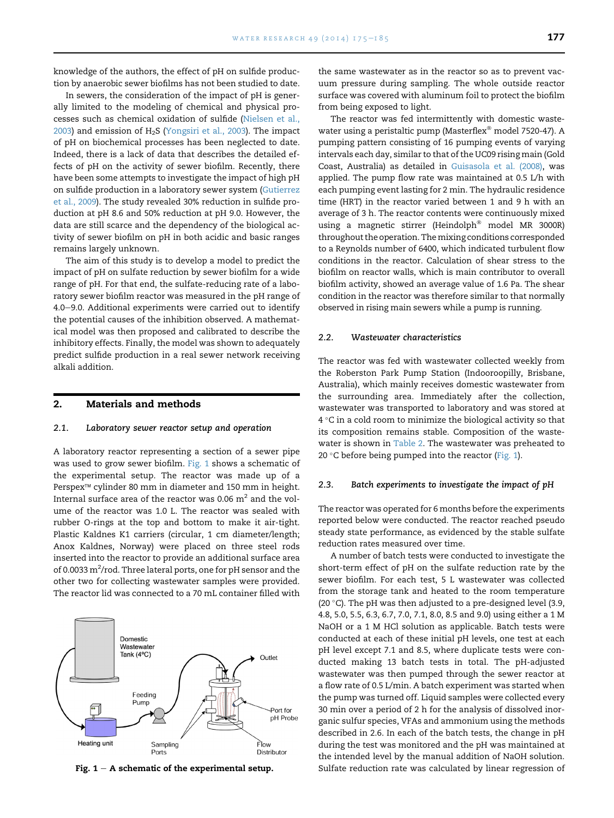knowledge of the authors, the effect of pH on sulfide production by anaerobic sewer biofilms has not been studied to date.

In sewers, the consideration of the impact of pH is generally limited to the modeling of chemical and physical processes such as chemical oxidation of sulfide ([Nielsen et al.,](#page-9-0)  $2003$ ) and emission of H<sub>2</sub>S ([Yongsiri et al., 2003](#page-10-0)). The impact of pH on biochemical processes has been neglected to date. Indeed, there is a lack of data that describes the detailed effects of pH on the activity of sewer biofilm. Recently, there have been some attempts to investigate the impact of high pH on sulfide production in a laboratory sewer system ([Gutierrez](#page-9-0) [et al., 2009](#page-9-0)). The study revealed 30% reduction in sulfide production at pH 8.6 and 50% reduction at pH 9.0. However, the data are still scarce and the dependency of the biological activity of sewer biofilm on pH in both acidic and basic ranges remains largely unknown.

The aim of this study is to develop a model to predict the impact of pH on sulfate reduction by sewer biofilm for a wide range of pH. For that end, the sulfate-reducing rate of a laboratory sewer biofilm reactor was measured in the pH range of 4.0-9.0. Additional experiments were carried out to identify the potential causes of the inhibition observed. A mathematical model was then proposed and calibrated to describe the inhibitory effects. Finally, the model was shown to adequately predict sulfide production in a real sewer network receiving alkali addition.

#### 2. Materials and methods

#### 2.1. Laboratory sewer reactor setup and operation

A laboratory reactor representing a section of a sewer pipe was used to grow sewer biofilm. Fig. 1 shows a schematic of the experimental setup. The reactor was made up of a Perspex™ cylinder 80 mm in diameter and 150 mm in height. Internal surface area of the reactor was 0.06  $m^2$  and the volume of the reactor was 1.0 L. The reactor was sealed with rubber O-rings at the top and bottom to make it air-tight. Plastic Kaldnes K1 carriers (circular, 1 cm diameter/length; Anox Kaldnes, Norway) were placed on three steel rods inserted into the reactor to provide an additional surface area of 0.0033  $\mathrm{m}^2\!/$ rod. Three lateral ports, one for pH sensor and the other two for collecting wastewater samples were provided. The reactor lid was connected to a 70 mL container filled with



the same wastewater as in the reactor so as to prevent vacuum pressure during sampling. The whole outside reactor surface was covered with aluminum foil to protect the biofilm from being exposed to light.

The reactor was fed intermittently with domestic wastewater using a peristaltic pump (Masterflex<sup>®</sup> model 7520-47). A pumping pattern consisting of 16 pumping events of varying intervals each day, similar to that of the UC09 rising main (Gold Coast, Australia) as detailed in [Guisasola et al. \(2008\)](#page-9-0), was applied. The pump flow rate was maintained at 0.5 L/h with each pumping event lasting for 2 min. The hydraulic residence time (HRT) in the reactor varied between 1 and 9 h with an average of 3 h. The reactor contents were continuously mixed using a magnetic stirrer (Heindolph® model MR 3000R) throughout the operation. The mixing conditions corresponded to a Reynolds number of 6400, which indicated turbulent flow conditions in the reactor. Calculation of shear stress to the biofilm on reactor walls, which is main contributor to overall biofilm activity, showed an average value of 1.6 Pa. The shear condition in the reactor was therefore similar to that normally observed in rising main sewers while a pump is running.

#### 2.2. Wastewater characteristics

The reactor was fed with wastewater collected weekly from the Roberston Park Pump Station (Indooroopilly, Brisbane, Australia), which mainly receives domestic wastewater from the surrounding area. Immediately after the collection, wastewater was transported to laboratory and was stored at  $4^{\circ}$ C in a cold room to minimize the biological activity so that its composition remains stable. Composition of the wastewater is shown in [Table 2](#page-3-0). The wastewater was preheated to 20 $\degree$ C before being pumped into the reactor (Fig. 1).

#### 2.3. Batch experiments to investigate the impact of pH

The reactor was operated for 6 months before the experiments reported below were conducted. The reactor reached pseudo steady state performance, as evidenced by the stable sulfate reduction rates measured over time.

A number of batch tests were conducted to investigate the short-term effect of pH on the sulfate reduction rate by the sewer biofilm. For each test, 5 L wastewater was collected from the storage tank and heated to the room temperature (20 $\degree$ C). The pH was then adjusted to a pre-designed level (3.9, 4.8, 5.0, 5.5, 6.3, 6.7, 7.0, 7.1, 8.0, 8.5 and 9.0) using either a 1 M NaOH or a 1 M HCl solution as applicable. Batch tests were conducted at each of these initial pH levels, one test at each pH level except 7.1 and 8.5, where duplicate tests were conducted making 13 batch tests in total. The pH-adjusted wastewater was then pumped through the sewer reactor at a flow rate of 0.5 L/min. A batch experiment was started when the pump was turned off. Liquid samples were collected every 30 min over a period of 2 h for the analysis of dissolved inorganic sulfur species, VFAs and ammonium using the methods described in 2.6. In each of the batch tests, the change in pH during the test was monitored and the pH was maintained at the intended level by the manual addition of NaOH solution. Fig. 1 - A schematic of the experimental setup. Sulfate reduction rate was calculated by linear regression of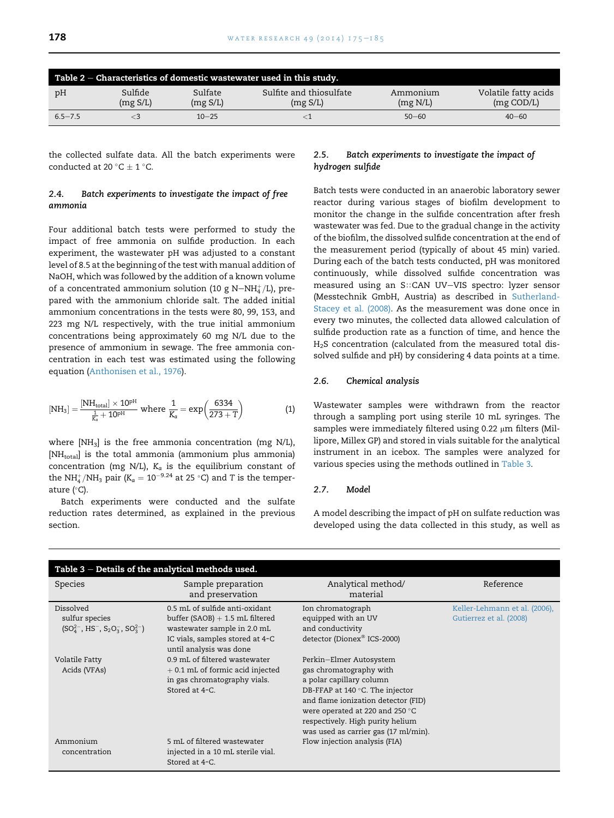<span id="page-3-0"></span>

|             |                     |                     | Table $2$ – Characteristics of domestic wastewater used in this study. |                      |                                    |
|-------------|---------------------|---------------------|------------------------------------------------------------------------|----------------------|------------------------------------|
| pH          | Sulfide<br>(mg S/L) | Sulfate<br>(mg S/L) | Sulfite and thiosulfate<br>(mg S/L)                                    | Ammonium<br>(mg N/L) | Volatile fatty acids<br>(mg COD/L) |
| $6.5 - 7.5$ |                     | $10 - 25$           |                                                                        | $50 - 60$            | $40 - 60$                          |

the collected sulfate data. All the batch experiments were conducted at 20 °C  $\pm$  1 °C.

# 2.4. Batch experiments to investigate the impact of free ammonia

Four additional batch tests were performed to study the impact of free ammonia on sulfide production. In each experiment, the wastewater pH was adjusted to a constant level of 8.5 at the beginning of the test with manual addition of NaOH, which was followed by the addition of a known volume of a concentrated ammonium solution (10 g N $-\mathrm{NH}_4^+/\mathrm{L}$ ), prepared with the ammonium chloride salt. The added initial ammonium concentrations in the tests were 80, 99, 153, and 223 mg N/L respectively, with the true initial ammonium concentrations being approximately 60 mg N/L due to the presence of ammonium in sewage. The free ammonia concentration in each test was estimated using the following equation ([Anthonisen et al., 1976](#page-9-0)).

$$
[NH_3] = \frac{[NH_{total}]\times 10^{pH}}{\frac{1}{K_a} + 10^{pH}} \text{ where } \frac{1}{K_a} = \exp\left(\frac{6334}{273 + T}\right) \tag{1}
$$

where [NH<sub>3</sub>] is the free ammonia concentration (mg N/L), [NH<sub>total</sub>] is the total ammonia (ammonium plus ammonia) concentration (mg N/L),  $K_a$  is the equilibrium constant of the NH<sup>+</sup><sub>4</sub>/NH<sub>3</sub> pair (K<sub>a</sub> = 10<sup>-9.24</sup> at 25 °C) and T is the temperature  $(^{\circ}C)$ .

Batch experiments were conducted and the sulfate reduction rates determined, as explained in the previous section.

# 2.5. Batch experiments to investigate the impact of hydrogen sulfide

Batch tests were conducted in an anaerobic laboratory sewer reactor during various stages of biofilm development to monitor the change in the sulfide concentration after fresh wastewater was fed. Due to the gradual change in the activity of the biofilm, the dissolved sulfide concentration at the end of the measurement period (typically of about 45 min) varied. During each of the batch tests conducted, pH was monitored continuously, while dissolved sulfide concentration was measured using an S::CAN UV-VIS spectro: lyzer sensor (Messtechnik GmbH, Austria) as described in [Sutherland-](#page-9-0)[Stacey et al. \(2008\)](#page-9-0). As the measurement was done once in every two minutes, the collected data allowed calculation of sulfide production rate as a function of time, and hence the  $H<sub>2</sub>S$  concentration (calculated from the measured total dissolved sulfide and pH) by considering 4 data points at a time.

# 2.6. Chemical analysis

Wastewater samples were withdrawn from the reactor through a sampling port using sterile 10 mL syringes. The samples were immediately filtered using 0.22 µm filters (Millipore, Millex GP) and stored in vials suitable for the analytical instrument in an icebox. The samples were analyzed for various species using the methods outlined in Table 3.

## 2.7. Model

A model describing the impact of pH on sulfate reduction was developed using the data collected in this study, as well as

| Table $3$ – Details of the analytical methods used.                                                                            |                                                                                                                                                                  |                                                                                                                                                                                                                                                                                  |                                                          |
|--------------------------------------------------------------------------------------------------------------------------------|------------------------------------------------------------------------------------------------------------------------------------------------------------------|----------------------------------------------------------------------------------------------------------------------------------------------------------------------------------------------------------------------------------------------------------------------------------|----------------------------------------------------------|
| <b>Species</b>                                                                                                                 | Sample preparation<br>and preservation                                                                                                                           | Analytical method/<br>material                                                                                                                                                                                                                                                   | Reference                                                |
| Dissolved<br>sulfur species<br>$(SO_4^{2-}$ , HS <sup>-</sup> , S <sub>2</sub> O <sub>3</sub> , SO <sub>3</sub> <sup>-</sup> ) | 0.5 mL of sulfide anti-oxidant<br>buffer $(SAOB) + 1.5$ mL filtered<br>wastewater sample in 2.0 mL<br>IC vials, samples stored at 4-C<br>until analysis was done | Ion chromatograph<br>equipped with an UV<br>and conductivity<br>detector (Dionex <sup>®</sup> ICS-2000)                                                                                                                                                                          | Keller-Lehmann et al. (2006),<br>Gutierrez et al. (2008) |
| Volatile Fatty<br>Acids (VFAs)                                                                                                 | 0.9 mL of filtered wastewater<br>$+$ 0.1 mL of formic acid injected<br>in gas chromatography vials.<br>Stored at 4-C.                                            | Perkin-Elmer Autosystem<br>gas chromatography with<br>a polar capillary column<br>DB-FFAP at $140^{\circ}$ C. The injector<br>and flame ionization detector (FID)<br>were operated at 220 and 250 °C<br>respectively. High purity helium<br>was used as carrier gas (17 ml/min). |                                                          |
| Ammonium<br>concentration                                                                                                      | 5 mL of filtered wastewater<br>injected in a 10 mL sterile vial.<br>Stored at 4-C.                                                                               | Flow injection analysis (FIA)                                                                                                                                                                                                                                                    |                                                          |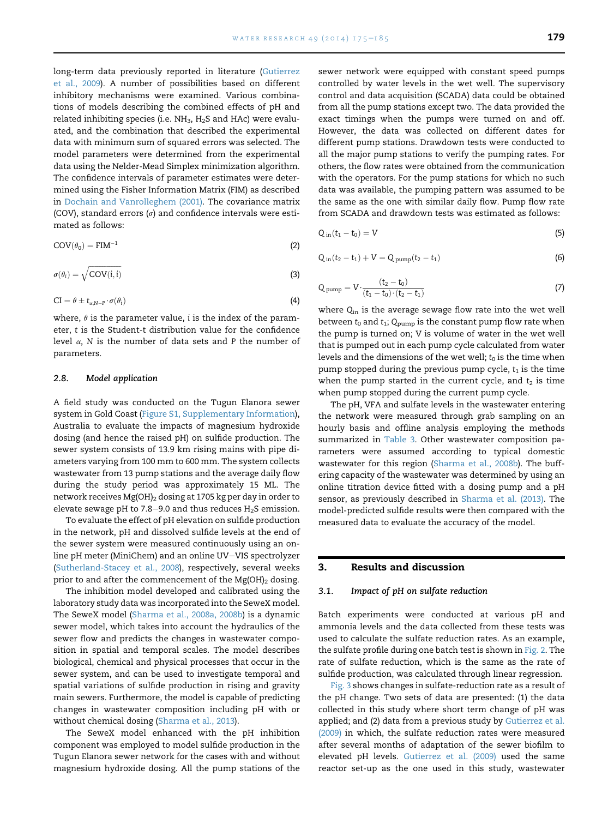<span id="page-4-0"></span>long-term data previously reported in literature ([Gutierrez](#page-9-0) [et al., 2009](#page-9-0)). A number of possibilities based on different inhibitory mechanisms were examined. Various combinations of models describing the combined effects of pH and related inhibiting species (i.e.  $NH<sub>3</sub>$ ,  $H<sub>2</sub>S$  and HAc) were evaluated, and the combination that described the experimental data with minimum sum of squared errors was selected. The model parameters were determined from the experimental data using the Nelder-Mead Simplex minimization algorithm. The confidence intervals of parameter estimates were determined using the Fisher Information Matrix (FIM) as described in [Dochain and Vanrolleghem \(2001\)](#page-9-0). The covariance matrix (COV), standard errors  $(\sigma)$  and confidence intervals were estimated as follows:

$$
COV(\theta_0) = FIM^{-1}
$$
 (2)

$$
\sigma(\theta_i) = \sqrt{\text{COV}(i, i)}\tag{3}
$$

$$
CI = \theta \pm t_{\alpha,N-P} \cdot \sigma(\theta_i) \tag{4}
$$

where,  $\theta$  is the parameter value, i is the index of the parameter, t is the Student-t distribution value for the confidence level  $\alpha$ , N is the number of data sets and P the number of parameters.

#### 2.8. Model application

A field study was conducted on the Tugun Elanora sewer system in Gold Coast (Figure S1, Supplementary Information), Australia to evaluate the impacts of magnesium hydroxide dosing (and hence the raised pH) on sulfide production. The sewer system consists of 13.9 km rising mains with pipe diameters varying from 100 mm to 600 mm. The system collects wastewater from 13 pump stations and the average daily flow during the study period was approximately 15 ML. The network receives Mg(OH)<sub>2</sub> dosing at 1705 kg per day in order to elevate sewage pH to 7.8–9.0 and thus reduces  $H_2S$  emission.

To evaluate the effect of pH elevation on sulfide production in the network, pH and dissolved sulfide levels at the end of the sewer system were measured continuously using an online pH meter (MiniChem) and an online UV-VIS spectrolyzer [\(Sutherland-Stacey et al., 2008\)](#page-9-0), respectively, several weeks prior to and after the commencement of the  $Mg(OH)_2$  dosing.

The inhibition model developed and calibrated using the laboratory study data was incorporated into the SeweX model. The SeweX model [\(Sharma et al., 2008a, 2008b](#page-9-0)) is a dynamic sewer model, which takes into account the hydraulics of the sewer flow and predicts the changes in wastewater composition in spatial and temporal scales. The model describes biological, chemical and physical processes that occur in the sewer system, and can be used to investigate temporal and spatial variations of sulfide production in rising and gravity main sewers. Furthermore, the model is capable of predicting changes in wastewater composition including pH with or without chemical dosing ([Sharma et al., 2013\)](#page-9-0).

The SeweX model enhanced with the pH inhibition component was employed to model sulfide production in the Tugun Elanora sewer network for the cases with and without magnesium hydroxide dosing. All the pump stations of the sewer network were equipped with constant speed pumps controlled by water levels in the wet well. The supervisory control and data acquisition (SCADA) data could be obtained from all the pump stations except two. The data provided the exact timings when the pumps were turned on and off. However, the data was collected on different dates for different pump stations. Drawdown tests were conducted to all the major pump stations to verify the pumping rates. For others, the flow rates were obtained from the communication with the operators. For the pump stations for which no such data was available, the pumping pattern was assumed to be the same as the one with similar daily flow. Pump flow rate from SCADA and drawdown tests was estimated as follows:

$$
Q_{\text{in}}(t_1 - t_0) = V \tag{5}
$$

$$
Q_{in}(t_2 - t_1) + V = Q_{pump}(t_2 - t_1)
$$
\n(6)

$$
Q_{pump} = V \cdot \frac{(t_2 - t_0)}{(t_1 - t_0) \cdot (t_2 - t_1)} \tag{7}
$$

where  $Q_{\text{in}}$  is the average sewage flow rate into the wet well between  $t_0$  and  $t_1$ ;  $Q_{\text{pump}}$  is the constant pump flow rate when the pump is turned on; V is volume of water in the wet well that is pumped out in each pump cycle calculated from water levels and the dimensions of the wet well;  $t_0$  is the time when pump stopped during the previous pump cycle,  $t_1$  is the time when the pump started in the current cycle, and  $t_2$  is time when pump stopped during the current pump cycle.

The pH, VFA and sulfate levels in the wastewater entering the network were measured through grab sampling on an hourly basis and offline analysis employing the methods summarized in [Table 3.](#page-3-0) Other wastewater composition parameters were assumed according to typical domestic wastewater for this region ([Sharma et al., 2008b\)](#page-9-0). The buffering capacity of the wastewater was determined by using an online titration device fitted with a dosing pump and a pH sensor, as previously described in [Sharma et al. \(2013\)](#page-9-0). The model-predicted sulfide results were then compared with the measured data to evaluate the accuracy of the model.

# 3. Results and discussion

#### 3.1. Impact of pH on sulfate reduction

Batch experiments were conducted at various pH and ammonia levels and the data collected from these tests was used to calculate the sulfate reduction rates. As an example, the sulfate profile during one batch test is shown in [Fig. 2.](#page-5-0) The rate of sulfate reduction, which is the same as the rate of sulfide production, was calculated through linear regression.

[Fig. 3](#page-5-0) shows changes in sulfate-reduction rate as a result of the pH change. Two sets of data are presented: (1) the data collected in this study where short term change of pH was applied; and (2) data from a previous study by [Gutierrez et al.](#page-9-0) [\(2009\)](#page-9-0) in which, the sulfate reduction rates were measured after several months of adaptation of the sewer biofilm to elevated pH levels. [Gutierrez et al. \(2009\)](#page-9-0) used the same reactor set-up as the one used in this study, wastewater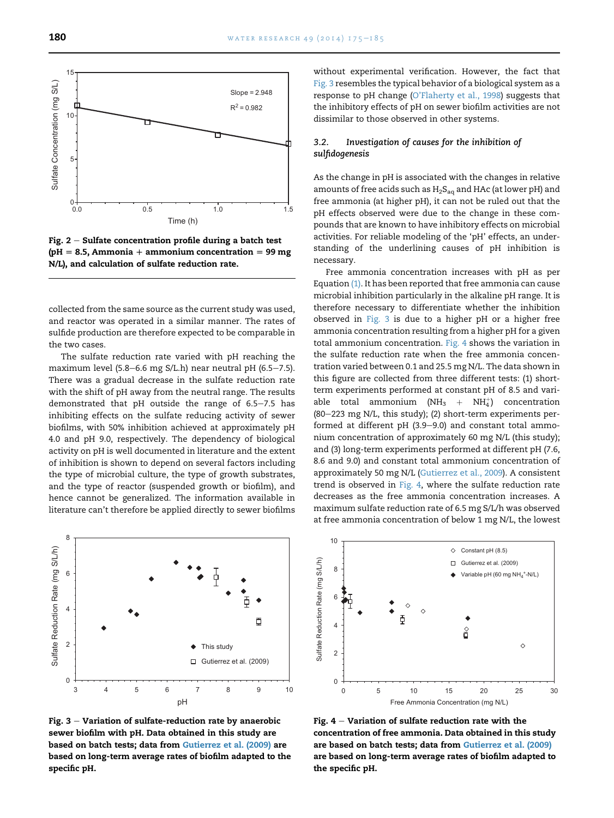<span id="page-5-0"></span>

Fig.  $2$  – Sulfate concentration profile during a batch test ( $pH = 8.5$ , Ammonia + ammonium concentration = 99 mg) N/L), and calculation of sulfate reduction rate.

collected from the same source as the current study was used, and reactor was operated in a similar manner. The rates of sulfide production are therefore expected to be comparable in the two cases.

The sulfate reduction rate varied with pH reaching the maximum level (5.8–6.6 mg S/L.h) near neutral pH (6.5–7.5). There was a gradual decrease in the sulfate reduction rate with the shift of pH away from the neutral range. The results demonstrated that pH outside the range of  $6.5-7.5$  has inhibiting effects on the sulfate reducing activity of sewer biofilms, with 50% inhibition achieved at approximately pH 4.0 and pH 9.0, respectively. The dependency of biological activity on pH is well documented in literature and the extent of inhibition is shown to depend on several factors including the type of microbial culture, the type of growth substrates, and the type of reactor (suspended growth or biofilm), and hence cannot be generalized. The information available in literature can't therefore be applied directly to sewer biofilms



Fig.  $3$  – Variation of sulfate-reduction rate by anaerobic sewer biofilm with pH. Data obtained in this study are based on batch tests; data from [Gutierrez et al. \(2009\)](#page-9-0) are based on long-term average rates of biofilm adapted to the specific pH.

without experimental verification. However, the fact that Fig. 3 resembles the typical behavior of a biological system as a response to pH change [\(O'Flaherty et al., 1998\)](#page-9-0) suggests that the inhibitory effects of pH on sewer biofilm activities are not dissimilar to those observed in other systems.

# 3.2. Investigation of causes for the inhibition of sulfidogenesis

As the change in pH is associated with the changes in relative amounts of free acids such as  $H_2S_{aq}$  and HAc (at lower pH) and free ammonia (at higher pH), it can not be ruled out that the pH effects observed were due to the change in these compounds that are known to have inhibitory effects on microbial activities. For reliable modeling of the 'pH' effects, an understanding of the underlining causes of pH inhibition is necessary.

Free ammonia concentration increases with pH as per Equation [\(1\)](#page-3-0). It has been reported that free ammonia can cause microbial inhibition particularly in the alkaline pH range. It is therefore necessary to differentiate whether the inhibition observed in Fig. 3 is due to a higher pH or a higher free ammonia concentration resulting from a higher pH for a given total ammonium concentration. Fig. 4 shows the variation in the sulfate reduction rate when the free ammonia concentration varied between 0.1 and 25.5 mg N/L. The data shown in this figure are collected from three different tests: (1) shortterm experiments performed at constant pH of 8.5 and variable total ammonium (NH<sub>3</sub> + NH<sub>4</sub>) concentration  $(80-223 \text{ mg N/L}, \text{this study})$ ;  $(2)$  short-term experiments performed at different pH  $(3.9-9.0)$  and constant total ammonium concentration of approximately 60 mg N/L (this study); and (3) long-term experiments performed at different pH (7.6, 8.6 and 9.0) and constant total ammonium concentration of approximately 50 mg N/L ([Gutierrez et al., 2009\)](#page-9-0). A consistent trend is observed in Fig. 4, where the sulfate reduction rate decreases as the free ammonia concentration increases. A maximum sulfate reduction rate of 6.5 mg S/L/h was observed at free ammonia concentration of below 1 mg N/L, the lowest



Fig.  $4$  – Variation of sulfate reduction rate with the concentration of free ammonia. Data obtained in this study are based on batch tests; data from [Gutierrez et al. \(2009\)](#page-9-0) are based on long-term average rates of biofilm adapted to the specific pH.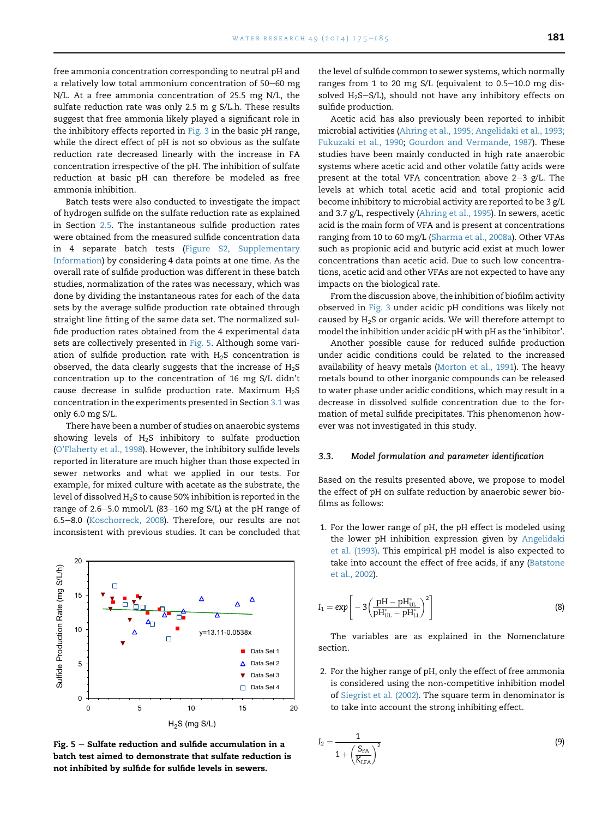free ammonia concentration corresponding to neutral pH and a relatively low total ammonium concentration of 50–60 mg N/L. At a free ammonia concentration of 25.5 mg N/L, the sulfate reduction rate was only 2.5 m g S/L.h. These results suggest that free ammonia likely played a significant role in the inhibitory effects reported in [Fig. 3](#page-5-0) in the basic pH range, while the direct effect of pH is not so obvious as the sulfate reduction rate decreased linearly with the increase in FA concentration irrespective of the pH. The inhibition of sulfate reduction at basic pH can therefore be modeled as free ammonia inhibition.

Batch tests were also conducted to investigate the impact of hydrogen sulfide on the sulfate reduction rate as explained in Section [2.5](#page-3-0). The instantaneous sulfide production rates were obtained from the measured sulfide concentration data in 4 separate batch tests (Figure S2, Supplementary Information) by considering 4 data points at one time. As the overall rate of sulfide production was different in these batch studies, normalization of the rates was necessary, which was done by dividing the instantaneous rates for each of the data sets by the average sulfide production rate obtained through straight line fitting of the same data set. The normalized sulfide production rates obtained from the 4 experimental data sets are collectively presented in Fig. 5. Although some variation of sulfide production rate with  $H_2S$  concentration is observed, the data clearly suggests that the increase of  $H_2S$ concentration up to the concentration of 16 mg S/L didn't cause decrease in sulfide production rate. Maximum  $H_2S$ concentration in the experiments presented in Section [3.1](#page-4-0) was only 6.0 mg S/L.

There have been a number of studies on anaerobic systems showing levels of  $H<sub>2</sub>S$  inhibitory to sulfate production [\(O'Flaherty et al., 1998](#page-9-0)). However, the inhibitory sulfide levels reported in literature are much higher than those expected in sewer networks and what we applied in our tests. For example, for mixed culture with acetate as the substrate, the level of dissolved  $H_2S$  to cause 50% inhibition is reported in the range of  $2.6-5.0$  mmol/L (83-160 mg S/L) at the pH range of 6.5-8.0 ([Koschorreck, 2008](#page-9-0)). Therefore, our results are not inconsistent with previous studies. It can be concluded that



Fig.  $5 -$  Sulfate reduction and sulfide accumulation in a batch test aimed to demonstrate that sulfate reduction is not inhibited by sulfide for sulfide levels in sewers.

the level of sulfide common to sewer systems, which normally ranges from 1 to 20 mg S/L (equivalent to  $0.5-10.0$  mg dissolved  $H_2S-S/L$ ), should not have any inhibitory effects on sulfide production.

Acetic acid has also previously been reported to inhibit microbial activities ([Ahring et al., 1995; Angelidaki et al., 1993;](#page-9-0) [Fukuzaki et al., 1990](#page-9-0); [Gourdon and Vermande, 1987](#page-9-0)). These studies have been mainly conducted in high rate anaerobic systems where acetic acid and other volatile fatty acids were present at the total VFA concentration above  $2-3$  g/L. The levels at which total acetic acid and total propionic acid become inhibitory to microbial activity are reported to be 3 g/L and 3.7 g/L, respectively ([Ahring et al., 1995\)](#page-9-0). In sewers, acetic acid is the main form of VFA and is present at concentrations ranging from 10 to 60 mg/L ([Sharma et al., 2008a\)](#page-9-0). Other VFAs such as propionic acid and butyric acid exist at much lower concentrations than acetic acid. Due to such low concentrations, acetic acid and other VFAs are not expected to have any impacts on the biological rate.

From the discussion above, the inhibition of biofilm activity observed in [Fig. 3](#page-5-0) under acidic pH conditions was likely not caused by H2S or organic acids. We will therefore attempt to model the inhibition under acidic pH with pH as the 'inhibitor'.

Another possible cause for reduced sulfide production under acidic conditions could be related to the increased availability of heavy metals [\(Morton et al., 1991\)](#page-9-0). The heavy metals bound to other inorganic compounds can be released to water phase under acidic conditions, which may result in a decrease in dissolved sulfide concentration due to the formation of metal sulfide precipitates. This phenomenon however was not investigated in this study.

#### 3.3. Model formulation and parameter identification

Based on the results presented above, we propose to model the effect of pH on sulfate reduction by anaerobic sewer biofilms as follows:

1. For the lower range of pH, the pH effect is modeled using the lower pH inhibition expression given by [Angelidaki](#page-9-0) [et al. \(1993\)](#page-9-0). This empirical pH model is also expected to take into account the effect of free acids, if any ([Batstone](#page-9-0) [et al., 2002](#page-9-0)).

$$
I_1 = exp \left[ -3\left(\frac{\text{pH} - \text{pH}_{\text{UL}}^*}{\text{pH}_{\text{UL}}^* - \text{pH}_{\text{LL}}^*} \right)^2 \right]
$$
 (8)

The variables are as explained in the Nomenclature section.

2. For the higher range of pH, only the effect of free ammonia is considered using the non-competitive inhibition model of [Siegrist et al. \(2002\)](#page-9-0). The square term in denominator is to take into account the strong inhibiting effect.

$$
I_2 = \frac{1}{1 + \left(\frac{S_{FA}}{K_{I,FA}}\right)^2}
$$
(9)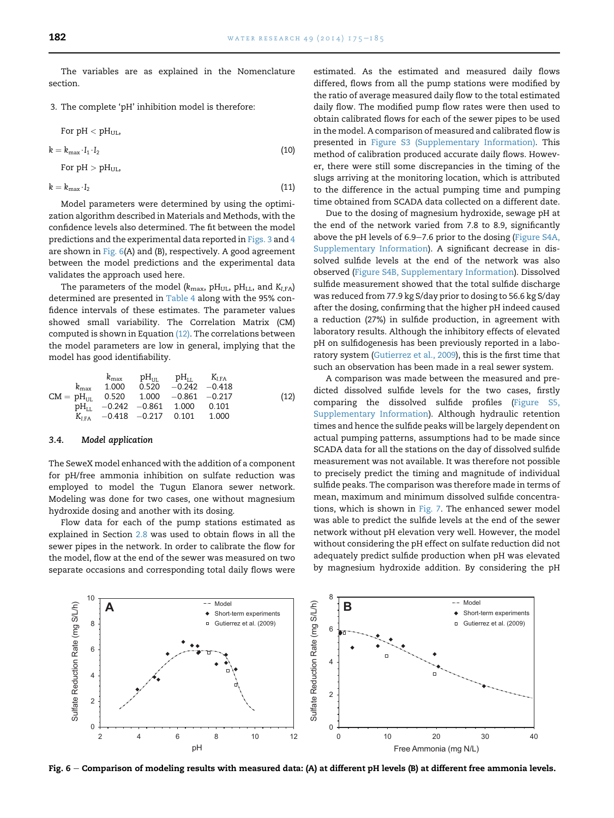The variables are as explained in the Nomenclature section.

3. The complete 'pH' inhibition model is therefore:

For pH 
$$
< pH_{UL}
$$
,\n
$$
k = k_{\text{max}} \cdot I_1 \cdot I_2
$$
\n(10)\nFor pH  $> pH_{UL}$ ,

 $k = k_{\text{max}} \cdot I_2$  (11)

Model parameters were determined by using the optimization algorithm described in Materials and Methods, with the confidence levels also determined. The fit between the model predictions and the experimental data reported in [Figs. 3](#page-5-0) and [4](#page-5-0) are shown in Fig.  $6(A)$  and (B), respectively. A good agreement between the model predictions and the experimental data validates the approach used here.

The parameters of the model ( $k_{\text{max}}$ , pH<sub>UL</sub>, pH<sub>LL</sub>, and  $K_{I,FA}$ ) determined are presented in [Table 4](#page-8-0) along with the 95% confidence intervals of these estimates. The parameter values showed small variability. The Correlation Matrix (CM) computed is shown in Equation (12). The correlations between the model parameters are low in general, implying that the model has good identifiability.

$$
\begin{array}{ccccccccc} & & & & & & \text{pH}_{\text{UL}} & & & & \text{pH}_{\text{LL}} & & & & & \text{K}_{\text{I},\text{FA}} \\ k_{\text{max}} & 1.000 & 0.520 & -0.242 & -0.418 & & & \\ \text{CM} = \text{pH}_{\text{UL}} & 0.520 & 1.000 & -0.861 & -0.217 & & & \\ \text{pH}_{\text{LL}} & -0.242 & -0.861 & 1.000 & 0.101 & & \\ & & & & & \text{K}_{\text{I},\text{FA}} & -0.418 & -0.217 & 0.101 & 1.000 & & \end{array} \tag{12}
$$

#### 3.4. Model application

The SeweX model enhanced with the addition of a component for pH/free ammonia inhibition on sulfate reduction was employed to model the Tugun Elanora sewer network. Modeling was done for two cases, one without magnesium hydroxide dosing and another with its dosing.

Flow data for each of the pump stations estimated as explained in Section [2.8](#page-4-0) was used to obtain flows in all the sewer pipes in the network. In order to calibrate the flow for the model, flow at the end of the sewer was measured on two separate occasions and corresponding total daily flows were estimated. As the estimated and measured daily flows differed, flows from all the pump stations were modified by the ratio of average measured daily flow to the total estimated daily flow. The modified pump flow rates were then used to obtain calibrated flows for each of the sewer pipes to be used in the model. A comparison of measured and calibrated flow is presented in Figure S3 (Supplementary Information). This method of calibration produced accurate daily flows. However, there were still some discrepancies in the timing of the slugs arriving at the monitoring location, which is attributed to the difference in the actual pumping time and pumping time obtained from SCADA data collected on a different date.

Due to the dosing of magnesium hydroxide, sewage pH at the end of the network varied from 7.8 to 8.9, significantly above the pH levels of 6.9-7.6 prior to the dosing (Figure S4A, Supplementary Information). A significant decrease in dissolved sulfide levels at the end of the network was also observed (Figure S4B, Supplementary Information). Dissolved sulfide measurement showed that the total sulfide discharge was reduced from 77.9 kg S/day prior to dosing to 56.6 kg S/day after the dosing, confirming that the higher pH indeed caused a reduction (27%) in sulfide production, in agreement with laboratory results. Although the inhibitory effects of elevated pH on sulfidogenesis has been previously reported in a laboratory system ([Gutierrez et al., 2009](#page-9-0)), this is the first time that such an observation has been made in a real sewer system.

A comparison was made between the measured and predicted dissolved sulfide levels for the two cases, firstly comparing the dissolved sulfide profiles (Figure S5, Supplementary Information). Although hydraulic retention times and hence the sulfide peaks will be largely dependent on actual pumping patterns, assumptions had to be made since SCADA data for all the stations on the day of dissolved sulfide measurement was not available. It was therefore not possible to precisely predict the timing and magnitude of individual sulfide peaks. The comparison was therefore made in terms of mean, maximum and minimum dissolved sulfide concentrations, which is shown in [Fig. 7.](#page-8-0) The enhanced sewer model was able to predict the sulfide levels at the end of the sewer network without pH elevation very well. However, the model without considering the pH effect on sulfate reduction did not adequately predict sulfide production when pH was elevated by magnesium hydroxide addition. By considering the pH



Fig.  $6$  – Comparison of modeling results with measured data: (A) at different pH levels (B) at different free ammonia levels.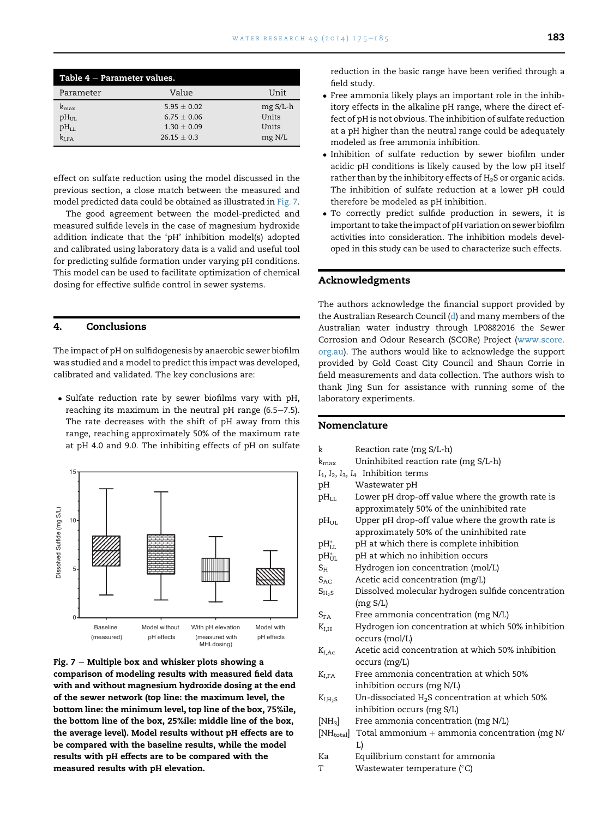<span id="page-8-0"></span>

| Table $4$ $-$ Parameter values.                       |                                                                    |                                        |
|-------------------------------------------------------|--------------------------------------------------------------------|----------------------------------------|
| Parameter                                             | Value                                                              | Unit                                   |
| $k_{\rm max}$<br>$pH_{UL}$<br>$pH_{LL}$<br>$k_{I.FA}$ | 5.95 $\pm$ 0.02<br>$6.75 + 0.06$<br>$1.30 + 0.09$<br>$26.15 + 0.3$ | $mg S/L-h$<br>Units<br>Units<br>mg N/L |

effect on sulfate reduction using the model discussed in the previous section, a close match between the measured and model predicted data could be obtained as illustrated in Fig. 7.

The good agreement between the model-predicted and measured sulfide levels in the case of magnesium hydroxide addition indicate that the 'pH' inhibition model(s) adopted and calibrated using laboratory data is a valid and useful tool for predicting sulfide formation under varying pH conditions. This model can be used to facilitate optimization of chemical dosing for effective sulfide control in sewer systems.

## 4. Conclusions

The impact of pH on sulfidogenesis by anaerobic sewer biofilm was studied and a model to predict this impact was developed, calibrated and validated. The key conclusions are:

 Sulfate reduction rate by sewer biofilms vary with pH, reaching its maximum in the neutral pH range  $(6.5-7.5)$ . The rate decreases with the shift of pH away from this range, reaching approximately 50% of the maximum rate at pH 4.0 and 9.0. The inhibiting effects of pH on sulfate



Fig.  $7 -$  Multiple box and whisker plots showing a comparison of modeling results with measured field data with and without magnesium hydroxide dosing at the end of the sewer network (top line: the maximum level, the bottom line: the minimum level, top line of the box, 75%ile, the bottom line of the box, 25%ile: middle line of the box, the average level). Model results without pH effects are to be compared with the baseline results, while the model results with pH effects are to be compared with the measured results with pH elevation.

reduction in the basic range have been verified through a field study.

- Free ammonia likely plays an important role in the inhibitory effects in the alkaline pH range, where the direct effect of pH is not obvious. The inhibition of sulfate reduction at a pH higher than the neutral range could be adequately modeled as free ammonia inhibition.
- Inhibition of sulfate reduction by sewer biofilm under acidic pH conditions is likely caused by the low pH itself rather than by the inhibitory effects of  $H_2S$  or organic acids. The inhibition of sulfate reduction at a lower pH could therefore be modeled as pH inhibition.
- To correctly predict sulfide production in sewers, it is important to take the impact of pH variation on sewer biofilm activities into consideration. The inhibition models developed in this study can be used to characterize such effects.

#### Acknowledgments

The authors acknowledge the financial support provided by the Australian Research Council [\(d](d)) and many members of the Australian water industry through LP0882016 the Sewer Corrosion and Odour Research (SCORe) Project [\(www.score.](http://www.score.org.au) [org.au](http://www.score.org.au)). The authors would like to acknowledge the support provided by Gold Coast City Council and Shaun Corrie in field measurements and data collection. The authors wish to thank Jing Sun for assistance with running some of the laboratory experiments.

# Nomenclature

| k                       | Reaction rate (mg S/L-h)                           |
|-------------------------|----------------------------------------------------|
| $k_{\rm max}$           | Uninhibited reaction rate (mg S/L-h)               |
|                         | $I_1$ , $I_2$ , $I_3$ , $I_4$ Inhibition terms     |
| pН                      | Wastewater pH                                      |
| $pH_{LL}$               | Lower pH drop-off value where the growth rate is   |
|                         | approximately 50% of the uninhibited rate          |
| pH <sub>UII</sub>       | Upper pH drop-off value where the growth rate is   |
|                         | approximately 50% of the uninhibited rate          |
| $pH_{LL}^*$             | pH at which there is complete inhibition           |
| $\rm{pH}_{\rm{HI}}^*$   | pH at which no inhibition occurs                   |
| $S_{H}$                 | Hydrogen ion concentration (mol/L)                 |
| $S_{AC}$                | Acetic acid concentration (mg/L)                   |
| $S_{H_2S}$              | Dissolved molecular hydrogen sulfide concentration |
|                         | (mg S/L)                                           |
| $S_{FA}$                | Free ammonia concentration (mg N/L)                |
| $K_{I,H}$               | Hydrogen ion concentration at which 50% inhibition |
|                         | occurs (mol/L)                                     |
| $K_{I,AC}$              | Acetic acid concentration at which 50% inhibition  |
|                         | occurs (mg/L)                                      |
| $K_{I,FA}$              | Free ammonia concentration at which 50%            |
|                         | inhibition occurs (mg N/L)                         |
| $K_{I,H_2S}$            | Un-dissociated $H_2S$ concentration at which 50%   |
|                         | inhibition occurs (mg S/L)                         |
| $[NH_3]$                | Free ammonia concentration (mg N/L)                |
| $[\mathrm{NH_{total}}]$ | Total ammonium $+$ ammonia concentration (mg N/    |
|                         | L)                                                 |
| Кa                      | Equilibrium constant for ammonia                   |
| T                       | Wastewater temperature $(^\circ C)$                |
|                         |                                                    |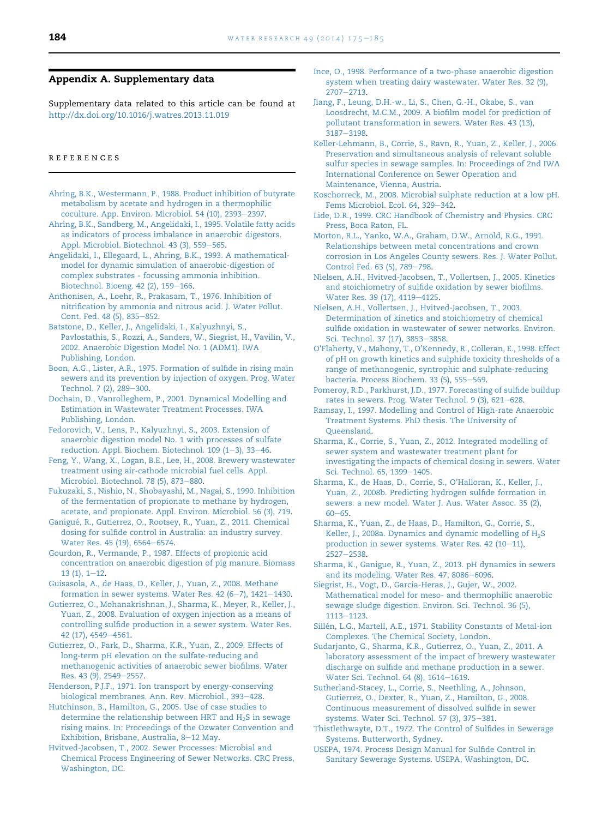# <span id="page-9-0"></span>Appendix A. Supplementary data

Supplementary data related to this article can be found at <http://dx.doi.org/10.1016/j.watres.2013.11.019>

#### references

- [Ahring, B.K., Westermann, P., 1988. Product inhibition of butyrate](http://refhub.elsevier.com/S0043-1354(13)00930-5/sref1) [metabolism by acetate and hydrogen in a thermophilic](http://refhub.elsevier.com/S0043-1354(13)00930-5/sref1) [coculture. App. Environ. Microbiol. 54 \(10\), 2393](http://refhub.elsevier.com/S0043-1354(13)00930-5/sref1)-[2397.](http://refhub.elsevier.com/S0043-1354(13)00930-5/sref1)
- [Ahring, B.K., Sandberg, M., Angelidaki, I., 1995. Volatile fatty acids](http://refhub.elsevier.com/S0043-1354(13)00930-5/sref2) [as indicators of process imbalance in anaerobic digestors.](http://refhub.elsevier.com/S0043-1354(13)00930-5/sref2) [Appl. Microbiol. Biotechnol. 43 \(3\), 559](http://refhub.elsevier.com/S0043-1354(13)00930-5/sref2)-[565](http://refhub.elsevier.com/S0043-1354(13)00930-5/sref2).
- [Angelidaki, I., Ellegaard, L., Ahring, B.K., 1993. A mathematical](http://refhub.elsevier.com/S0043-1354(13)00930-5/sref3)[model for dynamic simulation of anaerobic-digestion of](http://refhub.elsevier.com/S0043-1354(13)00930-5/sref3) [complex substrates - focussing ammonia inhibition.](http://refhub.elsevier.com/S0043-1354(13)00930-5/sref3) [Biotechnol. Bioeng. 42 \(2\), 159](http://refhub.elsevier.com/S0043-1354(13)00930-5/sref3)-[166.](http://refhub.elsevier.com/S0043-1354(13)00930-5/sref3)
- [Anthonisen, A., Loehr, R., Prakasam, T., 1976. Inhibition of](http://refhub.elsevier.com/S0043-1354(13)00930-5/sref4) [nitrification by ammonia and nitrous acid. J. Water Pollut.](http://refhub.elsevier.com/S0043-1354(13)00930-5/sref4) [Cont. Fed. 48 \(5\), 835](http://refhub.elsevier.com/S0043-1354(13)00930-5/sref4)-[852](http://refhub.elsevier.com/S0043-1354(13)00930-5/sref4).
- [Batstone, D., Keller, J., Angelidaki, I., Kalyuzhnyi, S.,](http://refhub.elsevier.com/S0043-1354(13)00930-5/sref5) [Pavlostathis, S., Rozzi, A., Sanders, W., Siegrist, H., Vavilin, V.,](http://refhub.elsevier.com/S0043-1354(13)00930-5/sref5) [2002. Anaerobic Digestion Model No. 1 \(ADM1\). IWA](http://refhub.elsevier.com/S0043-1354(13)00930-5/sref5) [Publishing, London.](http://refhub.elsevier.com/S0043-1354(13)00930-5/sref5)
- [Boon, A.G., Lister, A.R., 1975. Formation of sulfide in rising main](http://refhub.elsevier.com/S0043-1354(13)00930-5/sref6) [sewers and its prevention by injection of oxygen. Prog. Water](http://refhub.elsevier.com/S0043-1354(13)00930-5/sref6) [Technol. 7 \(2\), 289](http://refhub.elsevier.com/S0043-1354(13)00930-5/sref6)-[300](http://refhub.elsevier.com/S0043-1354(13)00930-5/sref6).
- [Dochain, D., Vanrolleghem, P., 2001. Dynamical Modelling and](http://refhub.elsevier.com/S0043-1354(13)00930-5/sref7) [Estimation in Wastewater Treatment Processes. IWA](http://refhub.elsevier.com/S0043-1354(13)00930-5/sref7) [Publishing, London.](http://refhub.elsevier.com/S0043-1354(13)00930-5/sref7)
- [Fedorovich, V., Lens, P., Kalyuzhnyi, S., 2003. Extension of](http://refhub.elsevier.com/S0043-1354(13)00930-5/sref8) [anaerobic digestion model No. 1 with processes of sulfate](http://refhub.elsevier.com/S0043-1354(13)00930-5/sref8) reduction. Appl. Biochem. Biotechnol.  $109$  (1-[3\), 33](http://refhub.elsevier.com/S0043-1354(13)00930-5/sref8)-[46](http://refhub.elsevier.com/S0043-1354(13)00930-5/sref8).
- [Feng, Y., Wang, X., Logan, B.E., Lee, H., 2008. Brewery wastewater](http://refhub.elsevier.com/S0043-1354(13)00930-5/sref9) [treatment using air-cathode microbial fuel cells. Appl.](http://refhub.elsevier.com/S0043-1354(13)00930-5/sref9) [Microbiol. Biotechnol. 78 \(5\), 873](http://refhub.elsevier.com/S0043-1354(13)00930-5/sref9)-[880](http://refhub.elsevier.com/S0043-1354(13)00930-5/sref9).
- [Fukuzaki, S., Nishio, N., Shobayashi, M., Nagai, S., 1990. Inhibition](http://refhub.elsevier.com/S0043-1354(13)00930-5/sref10) [of the fermentation of propionate to methane by hydrogen,](http://refhub.elsevier.com/S0043-1354(13)00930-5/sref10) [acetate, and propionate. Appl. Environ. Microbiol. 56 \(3\), 719.](http://refhub.elsevier.com/S0043-1354(13)00930-5/sref10)
- Ganigué, R., Gutierrez, O., Rootsey, R., Yuan, Z., 2011. Chemical [dosing for sulfide control in Australia: an industry survey.](http://refhub.elsevier.com/S0043-1354(13)00930-5/sref11) [Water Res. 45 \(19\), 6564](http://refhub.elsevier.com/S0043-1354(13)00930-5/sref11)-[6574](http://refhub.elsevier.com/S0043-1354(13)00930-5/sref11).
- [Gourdon, R., Vermande, P., 1987. Effects of propionic acid](http://refhub.elsevier.com/S0043-1354(13)00930-5/sref12) [concentration on anaerobic digestion of pig manure. Biomass](http://refhub.elsevier.com/S0043-1354(13)00930-5/sref12)  $13$  (1),  $1-12$  $1-12$ .
- [Guisasola, A., de Haas, D., Keller, J., Yuan, Z., 2008. Methane](http://refhub.elsevier.com/S0043-1354(13)00930-5/sref13) formation in sewer systems. Water Res.  $42 (6-7)$ ,  $1421-1430$ .
- [Gutierrez, O., Mohanakrishnan, J., Sharma, K., Meyer, R., Keller, J.,](http://refhub.elsevier.com/S0043-1354(13)00930-5/sref15) [Yuan, Z., 2008. Evaluation of oxygen injection as a means of](http://refhub.elsevier.com/S0043-1354(13)00930-5/sref15) [controlling sulfide production in a sewer system. Water Res.](http://refhub.elsevier.com/S0043-1354(13)00930-5/sref15) [42 \(17\), 4549](http://refhub.elsevier.com/S0043-1354(13)00930-5/sref15)-[4561](http://refhub.elsevier.com/S0043-1354(13)00930-5/sref15).
- [Gutierrez, O., Park, D., Sharma, K.R., Yuan, Z., 2009. Effects of](http://refhub.elsevier.com/S0043-1354(13)00930-5/sref16) [long-term pH elevation on the sulfate-reducing and](http://refhub.elsevier.com/S0043-1354(13)00930-5/sref16) [methanogenic activities of anaerobic sewer biofilms. Water](http://refhub.elsevier.com/S0043-1354(13)00930-5/sref16) [Res. 43 \(9\), 2549](http://refhub.elsevier.com/S0043-1354(13)00930-5/sref16)-[2557](http://refhub.elsevier.com/S0043-1354(13)00930-5/sref16).
- [Henderson, P.J.F., 1971. Ion transport by energy-conserving](http://refhub.elsevier.com/S0043-1354(13)00930-5/sref0) [biological membranes. Ann. Rev. Microbiol., 393](http://refhub.elsevier.com/S0043-1354(13)00930-5/sref0)-[428.](http://refhub.elsevier.com/S0043-1354(13)00930-5/sref0)
- [Hutchinson, B., Hamilton, G., 2005. Use of case studies to](http://refhub.elsevier.com/S0043-1354(13)00930-5/sref17) determine the relationship between HRT and  $H_2S$  in sewage [rising mains. In: Proceedings of the Ozwater Convention and](http://refhub.elsevier.com/S0043-1354(13)00930-5/sref17) [Exhibition, Brisbane, Australia, 8](http://refhub.elsevier.com/S0043-1354(13)00930-5/sref17)-[12 May.](http://refhub.elsevier.com/S0043-1354(13)00930-5/sref17)
- [Hvitved-Jacobsen, T., 2002. Sewer Processes: Microbial and](http://refhub.elsevier.com/S0043-1354(13)00930-5/sref18) [Chemical Process Engineering of Sewer Networks. CRC Press,](http://refhub.elsevier.com/S0043-1354(13)00930-5/sref18) [Washington, DC](http://refhub.elsevier.com/S0043-1354(13)00930-5/sref18).
- [Ince, O., 1998. Performance of a two-phase anaerobic digestion](http://refhub.elsevier.com/S0043-1354(13)00930-5/sref19) [system when treating dairy wastewater. Water Res. 32 \(9\),](http://refhub.elsevier.com/S0043-1354(13)00930-5/sref19)  $2707 - 2713.$  $2707 - 2713.$  $2707 - 2713.$
- [Jiang, F., Leung, D.H.-w., Li, S., Chen, G.-H., Okabe, S., van](http://refhub.elsevier.com/S0043-1354(13)00930-5/sref20) [Loosdrecht, M.C.M., 2009. A biofilm model for prediction of](http://refhub.elsevier.com/S0043-1354(13)00930-5/sref20) [pollutant transformation in sewers. Water Res. 43 \(13\),](http://refhub.elsevier.com/S0043-1354(13)00930-5/sref20) [3187](http://refhub.elsevier.com/S0043-1354(13)00930-5/sref20)-[3198.](http://refhub.elsevier.com/S0043-1354(13)00930-5/sref20)
- [Keller-Lehmann, B., Corrie, S., Ravn, R., Yuan, Z., Keller, J., 2006.](http://refhub.elsevier.com/S0043-1354(13)00930-5/sref21) [Preservation and simultaneous analysis of relevant soluble](http://refhub.elsevier.com/S0043-1354(13)00930-5/sref21) [sulfur species in sewage samples. In: Proceedings of 2nd IWA](http://refhub.elsevier.com/S0043-1354(13)00930-5/sref21) [International Conference on Sewer Operation and](http://refhub.elsevier.com/S0043-1354(13)00930-5/sref21) [Maintenance, Vienna, Austria](http://refhub.elsevier.com/S0043-1354(13)00930-5/sref21).
- [Koschorreck, M., 2008. Microbial sulphate reduction at a low pH.](http://refhub.elsevier.com/S0043-1354(13)00930-5/sref22) [Fems Microbiol. Ecol. 64, 329](http://refhub.elsevier.com/S0043-1354(13)00930-5/sref22)-[342.](http://refhub.elsevier.com/S0043-1354(13)00930-5/sref22)
- [Lide, D.R., 1999. CRC Handbook of Chemistry and Physics. CRC](http://refhub.elsevier.com/S0043-1354(13)00930-5/sref23) [Press, Boca Raton, FL](http://refhub.elsevier.com/S0043-1354(13)00930-5/sref23).
- [Morton, R.L., Yanko, W.A., Graham, D.W., Arnold, R.G., 1991.](http://refhub.elsevier.com/S0043-1354(13)00930-5/sref24) [Relationships between metal concentrations and crown](http://refhub.elsevier.com/S0043-1354(13)00930-5/sref24) [corrosion in Los Angeles County sewers. Res. J. Water Pollut.](http://refhub.elsevier.com/S0043-1354(13)00930-5/sref24) [Control Fed. 63 \(5\), 789](http://refhub.elsevier.com/S0043-1354(13)00930-5/sref24)-[798](http://refhub.elsevier.com/S0043-1354(13)00930-5/sref24).
- [Nielsen, A.H., Hvitved-Jacobsen, T., Vollertsen, J., 2005. Kinetics](http://refhub.elsevier.com/S0043-1354(13)00930-5/sref25) [and stoichiometry of sulfide oxidation by sewer biofilms.](http://refhub.elsevier.com/S0043-1354(13)00930-5/sref25) [Water Res. 39 \(17\), 4119](http://refhub.elsevier.com/S0043-1354(13)00930-5/sref25)-[4125](http://refhub.elsevier.com/S0043-1354(13)00930-5/sref25).
- [Nielsen, A.H., Vollertsen, J., Hvitved-Jacobsen, T., 2003.](http://refhub.elsevier.com/S0043-1354(13)00930-5/sref26) [Determination of kinetics and stoichiometry of chemical](http://refhub.elsevier.com/S0043-1354(13)00930-5/sref26) [sulfide oxidation in wastewater of sewer networks. Environ.](http://refhub.elsevier.com/S0043-1354(13)00930-5/sref26) [Sci. Technol. 37 \(17\), 3853](http://refhub.elsevier.com/S0043-1354(13)00930-5/sref26)-[3858.](http://refhub.elsevier.com/S0043-1354(13)00930-5/sref26)
- [O'Flaherty, V., Mahony, T., O'Kennedy, R., Colleran, E., 1998. Effect](http://refhub.elsevier.com/S0043-1354(13)00930-5/sref27) [of pH on growth kinetics and sulphide toxicity thresholds of a](http://refhub.elsevier.com/S0043-1354(13)00930-5/sref27) [range of methanogenic, syntrophic and sulphate-reducing](http://refhub.elsevier.com/S0043-1354(13)00930-5/sref27) [bacteria. Process Biochem. 33 \(5\), 555](http://refhub.elsevier.com/S0043-1354(13)00930-5/sref27)-[569](http://refhub.elsevier.com/S0043-1354(13)00930-5/sref27).
- [Pomeroy, R.D., Parkhurst, J.D., 1977. Forecasting of sulfide buildup](http://refhub.elsevier.com/S0043-1354(13)00930-5/sref28) [rates in sewers. Prog. Water Technol. 9 \(3\), 621](http://refhub.elsevier.com/S0043-1354(13)00930-5/sref28)-[628](http://refhub.elsevier.com/S0043-1354(13)00930-5/sref28).
- [Ramsay, I., 1997. Modelling and Control of High-rate Anaerobic](http://refhub.elsevier.com/S0043-1354(13)00930-5/sref29) [Treatment Systems. PhD thesis. The University of](http://refhub.elsevier.com/S0043-1354(13)00930-5/sref29) [Queensland](http://refhub.elsevier.com/S0043-1354(13)00930-5/sref29).
- [Sharma, K., Corrie, S., Yuan, Z., 2012. Integrated modelling of](http://refhub.elsevier.com/S0043-1354(13)00930-5/sref30) [sewer system and wastewater treatment plant for](http://refhub.elsevier.com/S0043-1354(13)00930-5/sref30) [investigating the impacts of chemical dosing in sewers. Water](http://refhub.elsevier.com/S0043-1354(13)00930-5/sref30) [Sci. Technol. 65, 1399](http://refhub.elsevier.com/S0043-1354(13)00930-5/sref30)-[1405](http://refhub.elsevier.com/S0043-1354(13)00930-5/sref30).
- [Sharma, K., de Haas, D., Corrie, S., O'Halloran, K., Keller, J.,](http://refhub.elsevier.com/S0043-1354(13)00930-5/sref31) [Yuan, Z., 2008b. Predicting hydrogen sulfide formation in](http://refhub.elsevier.com/S0043-1354(13)00930-5/sref31) [sewers: a new model. Water J. Aus. Water Assoc. 35 \(2\),](http://refhub.elsevier.com/S0043-1354(13)00930-5/sref31)  $60 - 65.$  $60 - 65.$  $60 - 65.$  $60 - 65.$
- [Sharma, K., Yuan, Z., de Haas, D., Hamilton, G., Corrie, S.,](http://refhub.elsevier.com/S0043-1354(13)00930-5/sref32) Keller, J., 2008a. Dynamics and dynamic modelling of  $H_2S$ production in sewer systems. Water Res.  $42$  (10-[11\),](http://refhub.elsevier.com/S0043-1354(13)00930-5/sref32)  $2527 - 2538.$  $2527 - 2538.$  $2527 - 2538.$
- [Sharma, K., Ganigue, R., Yuan, Z., 2013. pH dynamics in sewers](http://refhub.elsevier.com/S0043-1354(13)00930-5/sref33) [and its modeling. Water Res. 47, 8086](http://refhub.elsevier.com/S0043-1354(13)00930-5/sref33)-[6096](http://refhub.elsevier.com/S0043-1354(13)00930-5/sref33).
- [Siegrist, H., Vogt, D., Garcia-Heras, J., Gujer, W., 2002.](http://refhub.elsevier.com/S0043-1354(13)00930-5/sref34) [Mathematical model for meso- and thermophilic anaerobic](http://refhub.elsevier.com/S0043-1354(13)00930-5/sref34) [sewage sludge digestion. Environ. Sci. Technol. 36 \(5\),](http://refhub.elsevier.com/S0043-1354(13)00930-5/sref34) [1113](http://refhub.elsevier.com/S0043-1354(13)00930-5/sref34)-[1123.](http://refhub.elsevier.com/S0043-1354(13)00930-5/sref34)
- Sillén, L.G., Martell, A.E., 1971. Stability Constants of Metal-ion [Complexes. The Chemical Society, London.](http://refhub.elsevier.com/S0043-1354(13)00930-5/sref35)
- [Sudarjanto, G., Sharma, K.R., Gutierrez, O., Yuan, Z., 2011. A](http://refhub.elsevier.com/S0043-1354(13)00930-5/sref36) [laboratory assessment of the impact of brewery wastewater](http://refhub.elsevier.com/S0043-1354(13)00930-5/sref36) [discharge on sulfide and methane production in a sewer.](http://refhub.elsevier.com/S0043-1354(13)00930-5/sref36) [Water Sci. Technol. 64 \(8\), 1614](http://refhub.elsevier.com/S0043-1354(13)00930-5/sref36)-[1619.](http://refhub.elsevier.com/S0043-1354(13)00930-5/sref36)
- [Sutherland-Stacey, L., Corrie, S., Neethling, A., Johnson,](http://refhub.elsevier.com/S0043-1354(13)00930-5/sref37) [Gutierrez, O., Dexter, R., Yuan, Z., Hamilton, G., 2008.](http://refhub.elsevier.com/S0043-1354(13)00930-5/sref37) [Continuous measurement of dissolved sulfide in sewer](http://refhub.elsevier.com/S0043-1354(13)00930-5/sref37) [systems. Water Sci. Technol. 57 \(3\), 375](http://refhub.elsevier.com/S0043-1354(13)00930-5/sref37)-[381.](http://refhub.elsevier.com/S0043-1354(13)00930-5/sref37)
- [Thistlethwayte, D.T., 1972. The Control of Sulfides in Sewerage](http://refhub.elsevier.com/S0043-1354(13)00930-5/sref38) [Systems. Butterworth, Sydney.](http://refhub.elsevier.com/S0043-1354(13)00930-5/sref38)
- [USEPA, 1974. Process Design Manual for Sulfide Control in](http://refhub.elsevier.com/S0043-1354(13)00930-5/sref39) [Sanitary Sewerage Systems. USEPA, Washington, DC](http://refhub.elsevier.com/S0043-1354(13)00930-5/sref39).